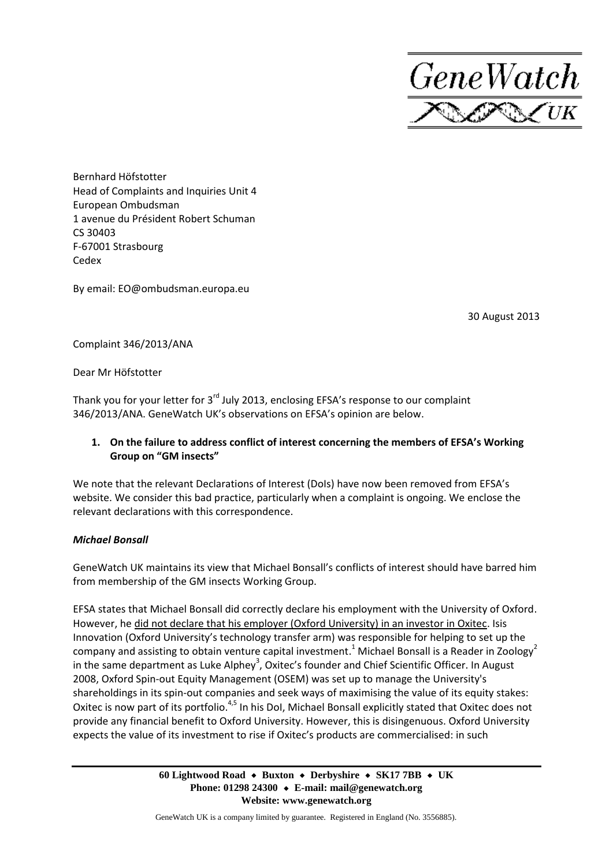

Bernhard Höfstotter Head of Complaints and Inquiries Unit 4 European Ombudsman 1 avenue du Président Robert Schuman CS 30403 F-67001 Strasbourg Cedex

By email: EO@ombudsman.europa.eu

30 August 2013

Complaint 346/2013/ANA

Dear Mr Höfstotter

Thank you for your letter for  $3<sup>rd</sup>$  July 2013, enclosing EFSA's response to our complaint 346/2013/ANA. GeneWatch UK's observations on EFSA's opinion are below.

# **1. On the failure to address conflict of interest concerning the members of EFSA's Working Group on "GM insects"**

We note that the relevant Declarations of Interest (DoIs) have now been removed from EFSA's website. We consider this bad practice, particularly when a complaint is ongoing. We enclose the relevant declarations with this correspondence.

### *Michael Bonsall*

GeneWatch UK maintains its view that Michael Bonsall's conflicts of interest should have barred him from membership of the GM insects Working Group.

EFSA states that Michael Bonsall did correctly declare his employment with the University of Oxford. However, he did not declare that his employer (Oxford University) in an investor in Oxitec. Isis Innovation (Oxford University's technology transfer arm) was responsible for helping to set up the company and assisting to obtain venture capital investment.<sup>1</sup> Michael Bonsall is a Reader in Zoology<sup>2</sup> in the same department as Luke Alphey<sup>3</sup>, Oxitec's founder and Chief Scientific Officer. In August 2008, Oxford Spin-out Equity Management (OSEM) was set up to manage the University's shareholdings in its spin-out companies and seek ways of maximising the value of its equity stakes: Oxitec is now part of its portfolio.<sup>4,5</sup> In his DoI, Michael Bonsall explicitly stated that Oxitec does not provide any financial benefit to Oxford University. However, this is disingenuous. Oxford University expects the value of its investment to rise if Oxitec's products are commercialised: in such

> **60 Lightwood Road Buxton Derbyshire SK17 7BB UK Phone: 01298 24300 E-mail: mail@genewatch.org Website: www.genewatch.org**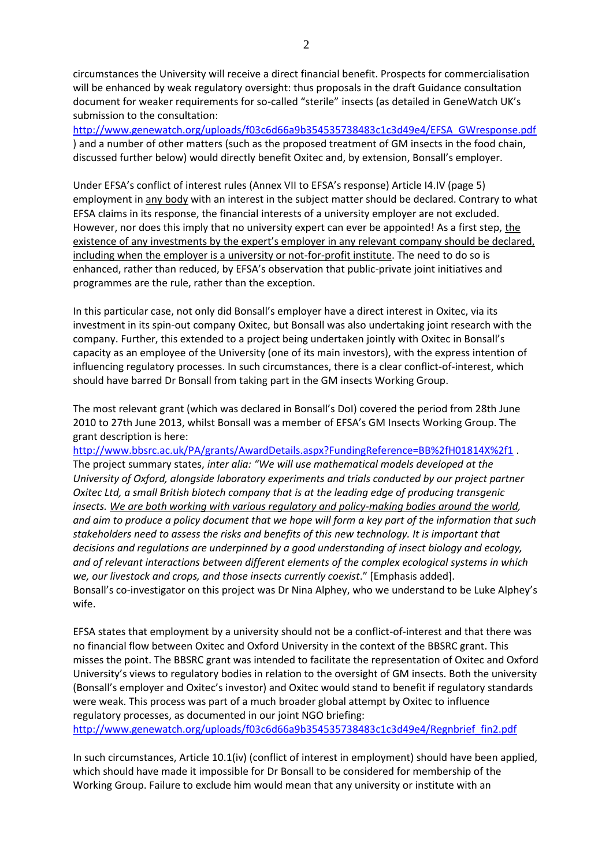circumstances the University will receive a direct financial benefit. Prospects for commercialisation will be enhanced by weak regulatory oversight: thus proposals in the draft Guidance consultation document for weaker requirements for so-called "sterile" insects (as detailed in GeneWatch UK's submission to the consultation:

[http://www.genewatch.org/uploads/f03c6d66a9b354535738483c1c3d49e4/EFSA\\_GWresponse.pdf](http://www.genewatch.org/uploads/f03c6d66a9b354535738483c1c3d49e4/EFSA_GWresponse.pdf) ) and a number of other matters (such as the proposed treatment of GM insects in the food chain, discussed further below) would directly benefit Oxitec and, by extension, Bonsall's employer.

Under EFSA's conflict of interest rules (Annex VII to EFSA's response) Article I4.IV (page 5) employment in any body with an interest in the subject matter should be declared. Contrary to what EFSA claims in its response, the financial interests of a university employer are not excluded. However, nor does this imply that no university expert can ever be appointed! As a first step, the existence of any investments by the expert's employer in any relevant company should be declared, including when the employer is a university or not-for-profit institute. The need to do so is enhanced, rather than reduced, by EFSA's observation that public-private joint initiatives and programmes are the rule, rather than the exception.

In this particular case, not only did Bonsall's employer have a direct interest in Oxitec, via its investment in its spin-out company Oxitec, but Bonsall was also undertaking joint research with the company. Further, this extended to a project being undertaken jointly with Oxitec in Bonsall's capacity as an employee of the University (one of its main investors), with the express intention of influencing regulatory processes. In such circumstances, there is a clear conflict-of-interest, which should have barred Dr Bonsall from taking part in the GM insects Working Group.

The most relevant grant (which was declared in Bonsall's DoI) covered the period from 28th June 2010 to 27th June 2013, whilst Bonsall was a member of EFSA's GM Insects Working Group. The grant description is here:

<http://www.bbsrc.ac.uk/PA/grants/AwardDetails.aspx?FundingReference=BB%2fH01814X%2f1> . The project summary states, *inter alia: "We will use mathematical models developed at the University of Oxford, alongside laboratory experiments and trials conducted by our project partner Oxitec Ltd, a small British biotech company that is at the leading edge of producing transgenic insects. We are both working with various regulatory and policy-making bodies around the world, and aim to produce a policy document that we hope will form a key part of the information that such stakeholders need to assess the risks and benefits of this new technology. It is important that decisions and regulations are underpinned by a good understanding of insect biology and ecology, and of relevant interactions between different elements of the complex ecological systems in which we, our livestock and crops, and those insects currently coexist*." [Emphasis added]. Bonsall's co-investigator on this project was Dr Nina Alphey, who we understand to be Luke Alphey's wife.

EFSA states that employment by a university should not be a conflict-of-interest and that there was no financial flow between Oxitec and Oxford University in the context of the BBSRC grant. This misses the point. The BBSRC grant was intended to facilitate the representation of Oxitec and Oxford University's views to regulatory bodies in relation to the oversight of GM insects. Both the university (Bonsall's employer and Oxitec's investor) and Oxitec would stand to benefit if regulatory standards were weak. This process was part of a much broader global attempt by Oxitec to influence regulatory processes, as documented in our joint NGO briefing: [http://www.genewatch.org/uploads/f03c6d66a9b354535738483c1c3d49e4/Regnbrief\\_fin2.pdf](http://www.genewatch.org/uploads/f03c6d66a9b354535738483c1c3d49e4/Regnbrief_fin2.pdf)

In such circumstances, Article 10.1(iv) (conflict of interest in employment) should have been applied, which should have made it impossible for Dr Bonsall to be considered for membership of the Working Group. Failure to exclude him would mean that any university or institute with an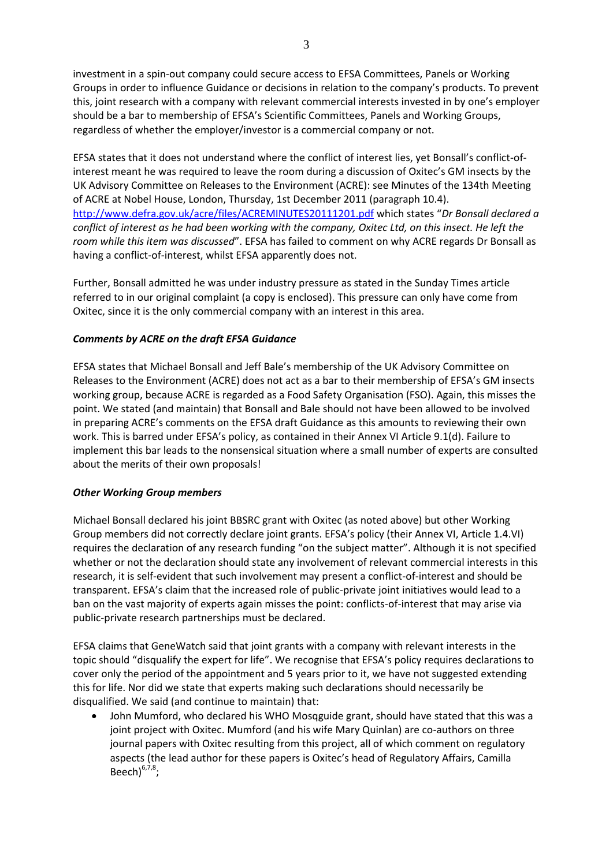investment in a spin-out company could secure access to EFSA Committees, Panels or Working Groups in order to influence Guidance or decisions in relation to the company's products. To prevent this, joint research with a company with relevant commercial interests invested in by one's employer should be a bar to membership of EFSA's Scientific Committees, Panels and Working Groups, regardless of whether the employer/investor is a commercial company or not.

EFSA states that it does not understand where the conflict of interest lies, yet Bonsall's conflict-ofinterest meant he was required to leave the room during a discussion of Oxitec's GM insects by the UK Advisory Committee on Releases to the Environment (ACRE): see Minutes of the 134th Meeting of ACRE at Nobel House, London, Thursday, 1st December 2011 (paragraph 10.4). <http://www.defra.gov.uk/acre/files/ACREMINUTES20111201.pdf> which states "*Dr Bonsall declared a conflict of interest as he had been working with the company, Oxitec Ltd, on this insect. He left the room while this item was discussed*". EFSA has failed to comment on why ACRE regards Dr Bonsall as having a conflict-of-interest, whilst EFSA apparently does not.

Further, Bonsall admitted he was under industry pressure as stated in the Sunday Times article referred to in our original complaint (a copy is enclosed). This pressure can only have come from Oxitec, since it is the only commercial company with an interest in this area.

## *Comments by ACRE on the draft EFSA Guidance*

EFSA states that Michael Bonsall and Jeff Bale's membership of the UK Advisory Committee on Releases to the Environment (ACRE) does not act as a bar to their membership of EFSA's GM insects working group, because ACRE is regarded as a Food Safety Organisation (FSO). Again, this misses the point. We stated (and maintain) that Bonsall and Bale should not have been allowed to be involved in preparing ACRE's comments on the EFSA draft Guidance as this amounts to reviewing their own work. This is barred under EFSA's policy, as contained in their Annex VI Article 9.1(d). Failure to implement this bar leads to the nonsensical situation where a small number of experts are consulted about the merits of their own proposals!

### *Other Working Group members*

Michael Bonsall declared his joint BBSRC grant with Oxitec (as noted above) but other Working Group members did not correctly declare joint grants. EFSA's policy (their Annex VI, Article 1.4.VI) requires the declaration of any research funding "on the subject matter". Although it is not specified whether or not the declaration should state any involvement of relevant commercial interests in this research, it is self-evident that such involvement may present a conflict-of-interest and should be transparent. EFSA's claim that the increased role of public-private joint initiatives would lead to a ban on the vast majority of experts again misses the point: conflicts-of-interest that may arise via public-private research partnerships must be declared.

EFSA claims that GeneWatch said that joint grants with a company with relevant interests in the topic should "disqualify the expert for life". We recognise that EFSA's policy requires declarations to cover only the period of the appointment and 5 years prior to it, we have not suggested extending this for life. Nor did we state that experts making such declarations should necessarily be disqualified. We said (and continue to maintain) that:

 John Mumford, who declared his WHO Mosqguide grant, should have stated that this was a joint project with Oxitec. Mumford (and his wife Mary Quinlan) are co-authors on three journal papers with Oxitec resulting from this project, all of which comment on regulatory aspects (the lead author for these papers is Oxitec's head of Regulatory Affairs, Camilla Beech $)^{6,7,8}$ ;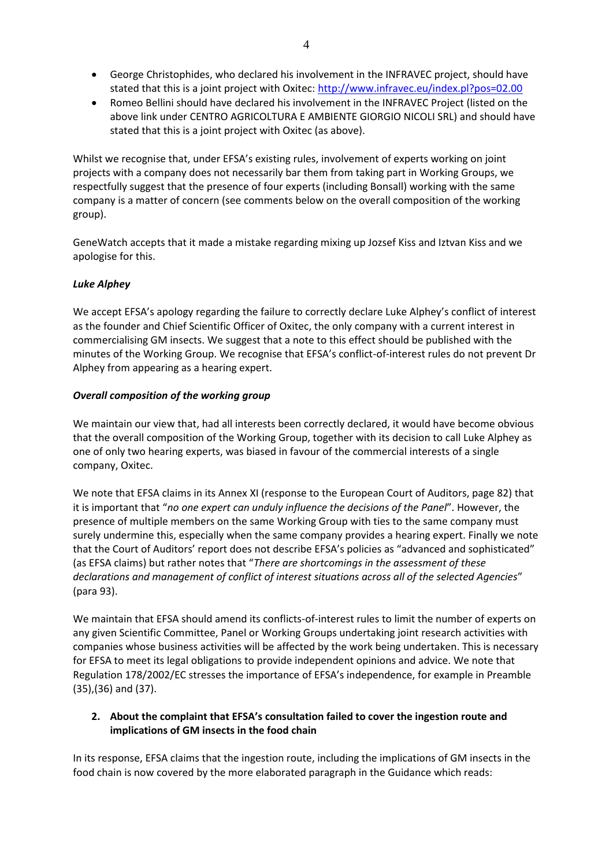- George Christophides, who declared his involvement in the INFRAVEC project, should have stated that this is a joint project with Oxitec:<http://www.infravec.eu/index.pl?pos=02.00>
- Romeo Bellini should have declared his involvement in the INFRAVEC Project (listed on the above link under CENTRO AGRICOLTURA E AMBIENTE GIORGIO NICOLI SRL) and should have stated that this is a joint project with Oxitec (as above).

Whilst we recognise that, under EFSA's existing rules, involvement of experts working on joint projects with a company does not necessarily bar them from taking part in Working Groups, we respectfully suggest that the presence of four experts (including Bonsall) working with the same company is a matter of concern (see comments below on the overall composition of the working group).

GeneWatch accepts that it made a mistake regarding mixing up Jozsef Kiss and Iztvan Kiss and we apologise for this.

## *Luke Alphey*

We accept EFSA's apology regarding the failure to correctly declare Luke Alphey's conflict of interest as the founder and Chief Scientific Officer of Oxitec, the only company with a current interest in commercialising GM insects. We suggest that a note to this effect should be published with the minutes of the Working Group. We recognise that EFSA's conflict-of-interest rules do not prevent Dr Alphey from appearing as a hearing expert.

### *Overall composition of the working group*

We maintain our view that, had all interests been correctly declared, it would have become obvious that the overall composition of the Working Group, together with its decision to call Luke Alphey as one of only two hearing experts, was biased in favour of the commercial interests of a single company, Oxitec.

We note that EFSA claims in its Annex XI (response to the European Court of Auditors, page 82) that it is important that "*no one expert can unduly influence the decisions of the Panel*". However, the presence of multiple members on the same Working Group with ties to the same company must surely undermine this, especially when the same company provides a hearing expert. Finally we note that the Court of Auditors' report does not describe EFSA's policies as "advanced and sophisticated" (as EFSA claims) but rather notes that "*There are shortcomings in the assessment of these declarations and management of conflict of interest situations across all of the selected Agencies*" (para 93).

We maintain that EFSA should amend its conflicts-of-interest rules to limit the number of experts on any given Scientific Committee, Panel or Working Groups undertaking joint research activities with companies whose business activities will be affected by the work being undertaken. This is necessary for EFSA to meet its legal obligations to provide independent opinions and advice. We note that Regulation 178/2002/EC stresses the importance of EFSA's independence, for example in Preamble (35),(36) and (37).

## **2. About the complaint that EFSA's consultation failed to cover the ingestion route and implications of GM insects in the food chain**

In its response, EFSA claims that the ingestion route, including the implications of GM insects in the food chain is now covered by the more elaborated paragraph in the Guidance which reads: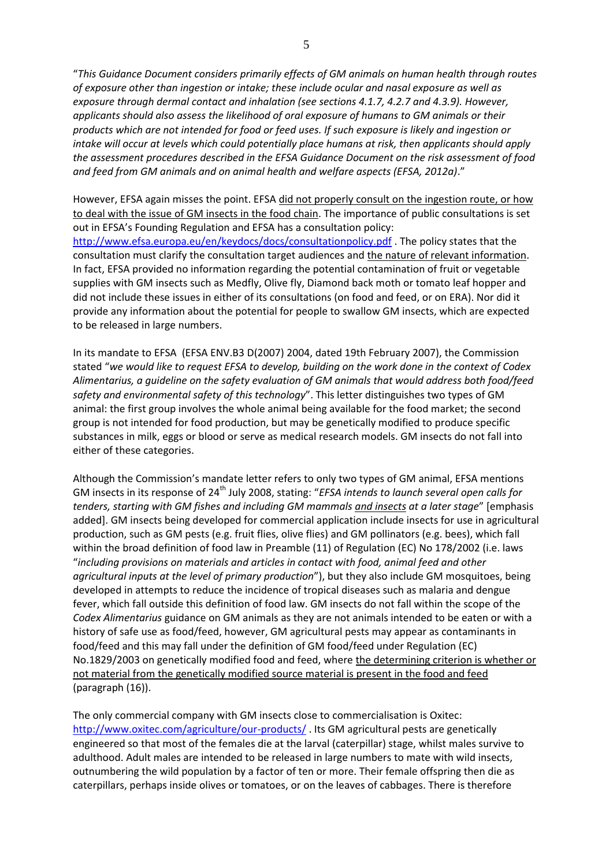"*This Guidance Document considers primarily effects of GM animals on human health through routes of exposure other than ingestion or intake; these include ocular and nasal exposure as well as exposure through dermal contact and inhalation (see sections 4.1.7, 4.2.7 and 4.3.9). However, applicants should also assess the likelihood of oral exposure of humans to GM animals or their products which are not intended for food or feed uses. If such exposure is likely and ingestion or intake will occur at levels which could potentially place humans at risk, then applicants should apply the assessment procedures described in the EFSA Guidance Document on the risk assessment of food and feed from GM animals and on animal health and welfare aspects (EFSA, 2012a)*."

However, EFSA again misses the point. EFSA did not properly consult on the ingestion route, or how to deal with the issue of GM insects in the food chain. The importance of public consultations is set out in EFSA's Founding Regulation and EFSA has a consultation policy: <http://www.efsa.europa.eu/en/keydocs/docs/consultationpolicy.pdf> . The policy states that the consultation must clarify the consultation target audiences and the nature of relevant information. In fact, EFSA provided no information regarding the potential contamination of fruit or vegetable supplies with GM insects such as Medfly, Olive fly, Diamond back moth or tomato leaf hopper and did not include these issues in either of its consultations (on food and feed, or on ERA). Nor did it provide any information about the potential for people to swallow GM insects, which are expected to be released in large numbers.

In its mandate to EFSA (EFSA ENV.B3 D(2007) 2004, dated 19th February 2007), the Commission stated "*we would like to request EFSA to develop, building on the work done in the context of Codex Alimentarius, a guideline on the safety evaluation of GM animals that would address both food/feed safety and environmental safety of this technology*". This letter distinguishes two types of GM animal: the first group involves the whole animal being available for the food market; the second group is not intended for food production, but may be genetically modified to produce specific substances in milk, eggs or blood or serve as medical research models. GM insects do not fall into either of these categories.

Although the Commission's mandate letter refers to only two types of GM animal, EFSA mentions GM insects in its response of 24<sup>th</sup> July 2008, stating: "*EFSA intends to launch several open calls for tenders, starting with GM fishes and including GM mammals and insects at a later stage*" [emphasis added]. GM insects being developed for commercial application include insects for use in agricultural production, such as GM pests (e.g. fruit flies, olive flies) and GM pollinators (e.g. bees), which fall within the broad definition of food law in Preamble (11) of Regulation (EC) No 178/2002 (i.e. laws "*including provisions on materials and articles in contact with food, animal feed and other agricultural inputs at the level of primary production*"), but they also include GM mosquitoes, being developed in attempts to reduce the incidence of tropical diseases such as malaria and dengue fever, which fall outside this definition of food law. GM insects do not fall within the scope of the *Codex Alimentarius* guidance on GM animals as they are not animals intended to be eaten or with a history of safe use as food/feed, however, GM agricultural pests may appear as contaminants in food/feed and this may fall under the definition of GM food/feed under Regulation (EC) No.1829/2003 on genetically modified food and feed, where the determining criterion is whether or not material from the genetically modified source material is present in the food and feed (paragraph (16)).

The only commercial company with GM insects close to commercialisation is Oxitec: <http://www.oxitec.com/agriculture/our-products/> . Its GM agricultural pests are genetically engineered so that most of the females die at the larval (caterpillar) stage, whilst males survive to adulthood. Adult males are intended to be released in large numbers to mate with wild insects, outnumbering the wild population by a factor of ten or more. Their female offspring then die as caterpillars, perhaps inside olives or tomatoes, or on the leaves of cabbages. There is therefore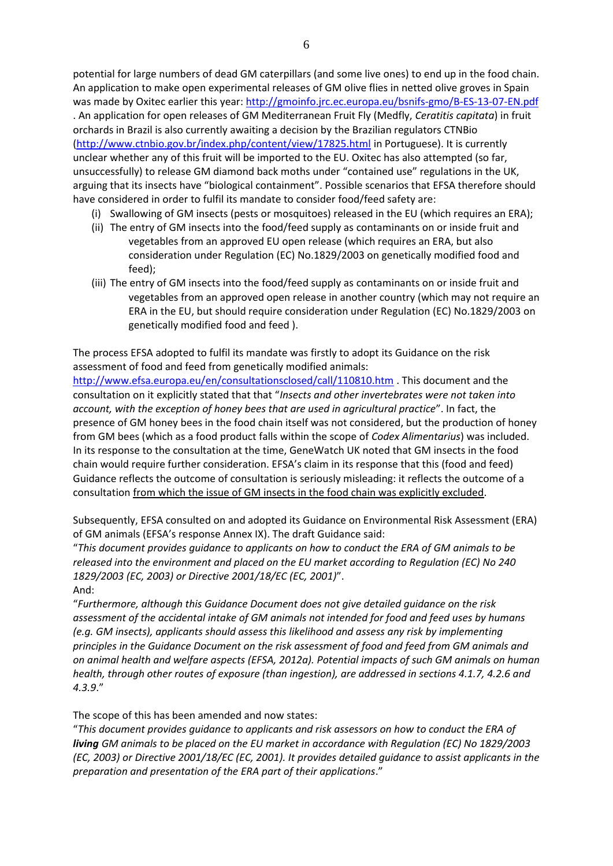potential for large numbers of dead GM caterpillars (and some live ones) to end up in the food chain. An application to make open experimental releases of GM olive flies in netted olive groves in Spain was made by Oxitec earlier this year:<http://gmoinfo.jrc.ec.europa.eu/bsnifs-gmo/B-ES-13-07-EN.pdf> . An application for open releases of GM Mediterranean Fruit Fly (Medfly, *Ceratitis capitata*) in fruit orchards in Brazil is also currently awaiting a decision by the Brazilian regulators CTNBio [\(http://www.ctnbio.gov.br/index.php/content/view/17825.html](http://www.ctnbio.gov.br/index.php/content/view/17825.html) in Portuguese). It is currently unclear whether any of this fruit will be imported to the EU. Oxitec has also attempted (so far, unsuccessfully) to release GM diamond back moths under "contained use" regulations in the UK, arguing that its insects have "biological containment". Possible scenarios that EFSA therefore should have considered in order to fulfil its mandate to consider food/feed safety are:

- (i) Swallowing of GM insects (pests or mosquitoes) released in the EU (which requires an ERA);
- (ii) The entry of GM insects into the food/feed supply as contaminants on or inside fruit and vegetables from an approved EU open release (which requires an ERA, but also consideration under Regulation (EC) No.1829/2003 on genetically modified food and feed);
- (iii) The entry of GM insects into the food/feed supply as contaminants on or inside fruit and vegetables from an approved open release in another country (which may not require an ERA in the EU, but should require consideration under Regulation (EC) No.1829/2003 on genetically modified food and feed ).

The process EFSA adopted to fulfil its mandate was firstly to adopt its Guidance on the risk assessment of food and feed from genetically modified animals:

<http://www.efsa.europa.eu/en/consultationsclosed/call/110810.htm> . This document and the consultation on it explicitly stated that that "*Insects and other invertebrates were not taken into account, with the exception of honey bees that are used in agricultural practice*". In fact, the presence of GM honey bees in the food chain itself was not considered, but the production of honey from GM bees (which as a food product falls within the scope of *Codex Alimentarius*) was included. In its response to the consultation at the time, GeneWatch UK noted that GM insects in the food chain would require further consideration. EFSA's claim in its response that this (food and feed) Guidance reflects the outcome of consultation is seriously misleading: it reflects the outcome of a consultation from which the issue of GM insects in the food chain was explicitly excluded.

Subsequently, EFSA consulted on and adopted its Guidance on Environmental Risk Assessment (ERA) of GM animals (EFSA's response Annex IX). The draft Guidance said:

"*This document provides guidance to applicants on how to conduct the ERA of GM animals to be released into the environment and placed on the EU market according to Regulation (EC) No 240 1829/2003 (EC, 2003) or Directive 2001/18/EC (EC, 2001)*".

And:

"*Furthermore, although this Guidance Document does not give detailed guidance on the risk assessment of the accidental intake of GM animals not intended for food and feed uses by humans (e.g. GM insects), applicants should assess this likelihood and assess any risk by implementing principles in the Guidance Document on the risk assessment of food and feed from GM animals and on animal health and welfare aspects (EFSA, 2012a). Potential impacts of such GM animals on human health, through other routes of exposure (than ingestion), are addressed in sections 4.1.7, 4.2.6 and 4.3.9*."

The scope of this has been amended and now states:

"*This document provides guidance to applicants and risk assessors on how to conduct the ERA of living GM animals to be placed on the EU market in accordance with Regulation (EC) No 1829/2003 (EC, 2003) or Directive 2001/18/EC (EC, 2001). It provides detailed guidance to assist applicants in the preparation and presentation of the ERA part of their applications*."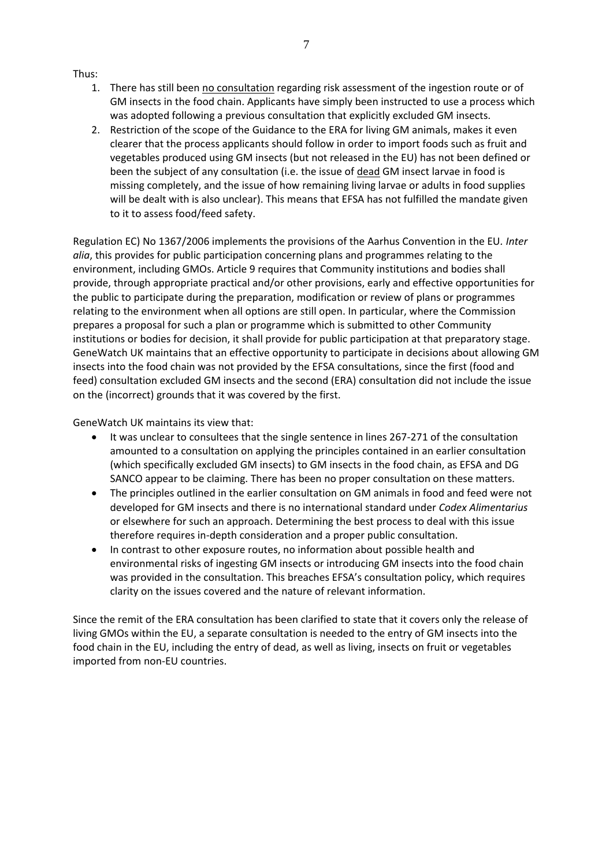### Thus:

- 1. There has still been no consultation regarding risk assessment of the ingestion route or of GM insects in the food chain. Applicants have simply been instructed to use a process which was adopted following a previous consultation that explicitly excluded GM insects.
- 2. Restriction of the scope of the Guidance to the ERA for living GM animals, makes it even clearer that the process applicants should follow in order to import foods such as fruit and vegetables produced using GM insects (but not released in the EU) has not been defined or been the subject of any consultation (i.e. the issue of dead GM insect larvae in food is missing completely, and the issue of how remaining living larvae or adults in food supplies will be dealt with is also unclear). This means that EFSA has not fulfilled the mandate given to it to assess food/feed safety.

Regulation EC) No 1367/2006 implements the provisions of the Aarhus Convention in the EU*. Inter alia*, this provides for public participation concerning plans and programmes relating to the environment, including GMOs. Article 9 requires that Community institutions and bodies shall provide, through appropriate practical and/or other provisions, early and effective opportunities for the public to participate during the preparation, modification or review of plans or programmes relating to the environment when all options are still open. In particular, where the Commission prepares a proposal for such a plan or programme which is submitted to other Community institutions or bodies for decision, it shall provide for public participation at that preparatory stage. GeneWatch UK maintains that an effective opportunity to participate in decisions about allowing GM insects into the food chain was not provided by the EFSA consultations, since the first (food and feed) consultation excluded GM insects and the second (ERA) consultation did not include the issue on the (incorrect) grounds that it was covered by the first.

GeneWatch UK maintains its view that:

- It was unclear to consultees that the single sentence in lines 267-271 of the consultation amounted to a consultation on applying the principles contained in an earlier consultation (which specifically excluded GM insects) to GM insects in the food chain, as EFSA and DG SANCO appear to be claiming. There has been no proper consultation on these matters.
- The principles outlined in the earlier consultation on GM animals in food and feed were not developed for GM insects and there is no international standard under *Codex Alimentarius* or elsewhere for such an approach. Determining the best process to deal with this issue therefore requires in-depth consideration and a proper public consultation.
- In contrast to other exposure routes, no information about possible health and environmental risks of ingesting GM insects or introducing GM insects into the food chain was provided in the consultation. This breaches EFSA's consultation policy, which requires clarity on the issues covered and the nature of relevant information.

Since the remit of the ERA consultation has been clarified to state that it covers only the release of living GMOs within the EU, a separate consultation is needed to the entry of GM insects into the food chain in the EU, including the entry of dead, as well as living, insects on fruit or vegetables imported from non-EU countries.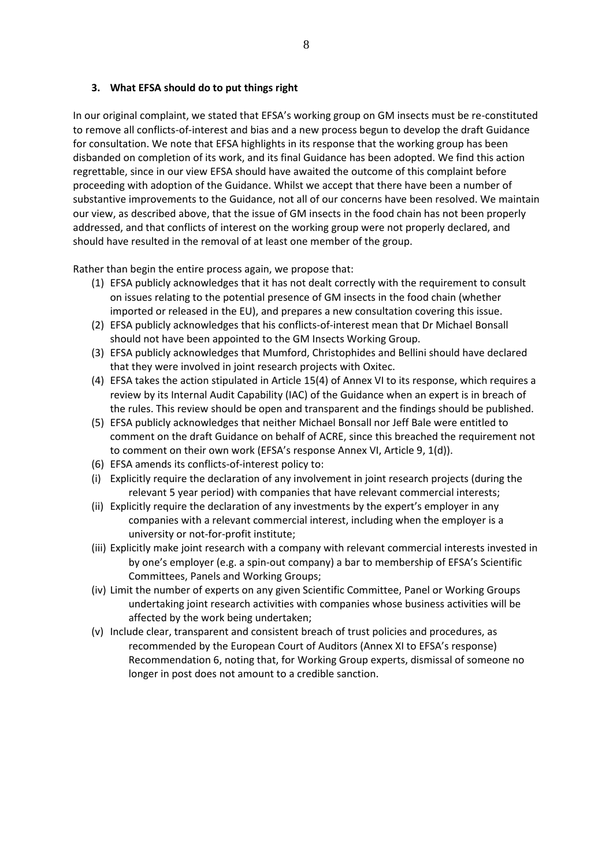### **3. What EFSA should do to put things right**

In our original complaint, we stated that EFSA's working group on GM insects must be re-constituted to remove all conflicts-of-interest and bias and a new process begun to develop the draft Guidance for consultation. We note that EFSA highlights in its response that the working group has been disbanded on completion of its work, and its final Guidance has been adopted. We find this action regrettable, since in our view EFSA should have awaited the outcome of this complaint before proceeding with adoption of the Guidance. Whilst we accept that there have been a number of substantive improvements to the Guidance, not all of our concerns have been resolved. We maintain our view, as described above, that the issue of GM insects in the food chain has not been properly addressed, and that conflicts of interest on the working group were not properly declared, and should have resulted in the removal of at least one member of the group.

Rather than begin the entire process again, we propose that:

- (1) EFSA publicly acknowledges that it has not dealt correctly with the requirement to consult on issues relating to the potential presence of GM insects in the food chain (whether imported or released in the EU), and prepares a new consultation covering this issue.
- (2) EFSA publicly acknowledges that his conflicts-of-interest mean that Dr Michael Bonsall should not have been appointed to the GM Insects Working Group.
- (3) EFSA publicly acknowledges that Mumford, Christophides and Bellini should have declared that they were involved in joint research projects with Oxitec.
- (4) EFSA takes the action stipulated in Article 15(4) of Annex VI to its response, which requires a review by its Internal Audit Capability (IAC) of the Guidance when an expert is in breach of the rules. This review should be open and transparent and the findings should be published.
- (5) EFSA publicly acknowledges that neither Michael Bonsall nor Jeff Bale were entitled to comment on the draft Guidance on behalf of ACRE, since this breached the requirement not to comment on their own work (EFSA's response Annex VI, Article 9, 1(d)).
- (6) EFSA amends its conflicts-of-interest policy to:
- (i) Explicitly require the declaration of any involvement in joint research projects (during the relevant 5 year period) with companies that have relevant commercial interests;
- (ii) Explicitly require the declaration of any investments by the expert's employer in any companies with a relevant commercial interest, including when the employer is a university or not-for-profit institute;
- (iii) Explicitly make joint research with a company with relevant commercial interests invested in by one's employer (e.g. a spin-out company) a bar to membership of EFSA's Scientific Committees, Panels and Working Groups;
- (iv) Limit the number of experts on any given Scientific Committee, Panel or Working Groups undertaking joint research activities with companies whose business activities will be affected by the work being undertaken;
- (v) Include clear, transparent and consistent breach of trust policies and procedures, as recommended by the European Court of Auditors (Annex XI to EFSA's response) Recommendation 6, noting that, for Working Group experts, dismissal of someone no longer in post does not amount to a credible sanction.